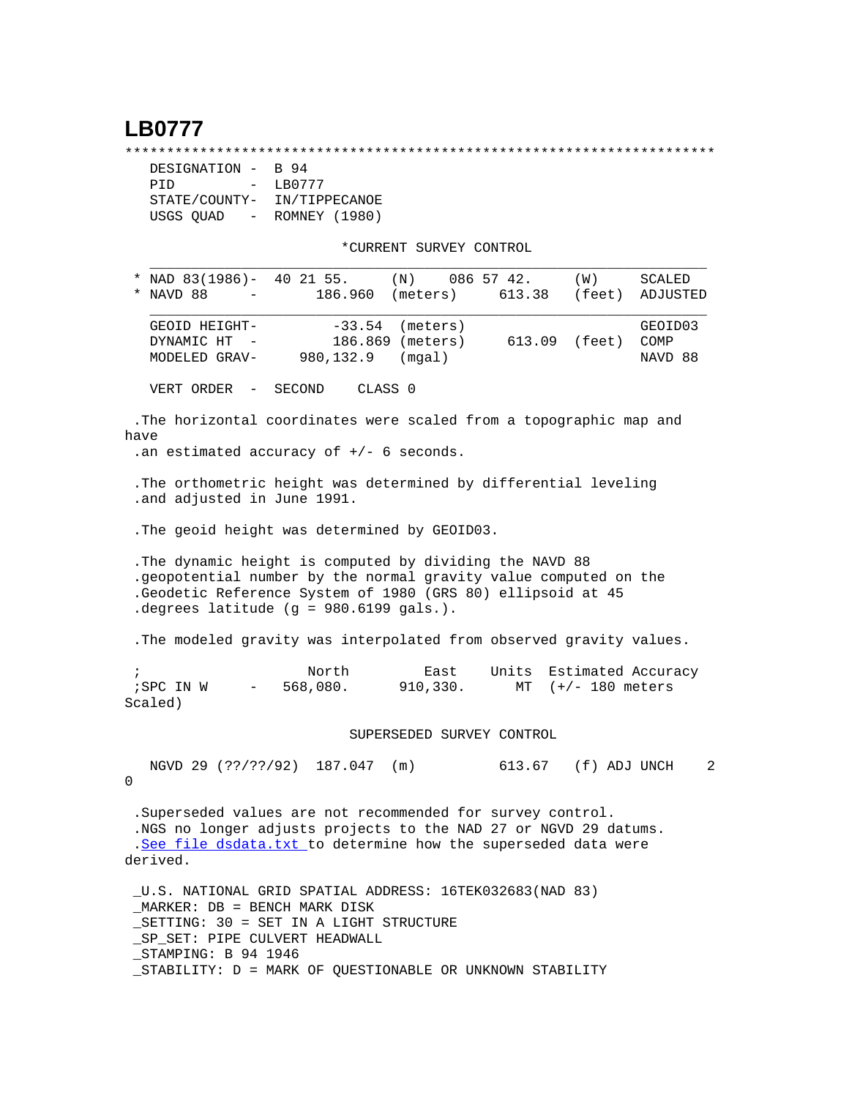## **LB0777**

\*\*\*\*\*\*\*\*\*\*\*\*\*\*\*\*\*\*\*\*\*\*\*\*\*\*\*\*\*\*\*\*\*\*\*\*\*\*\*\*\*\*\*\*\*\*\*\*\*\*\*\*\*\*\*\*\*\*\*\*\*\*\*\*\*\*\*\*\*\*\*

| DESIGNATION - B 94       |               |
|--------------------------|---------------|
| PTD<br>$\sim$ 100 $\sim$ | LB0777        |
| STATE/COUNTY-            | IN/TIPPECANOE |
| USGS QUAD<br>$\sim$ $-$  | ROMNEY (1980) |

\*CURRENT SURVEY CONTROL

| * NAD 83(1986)-<br>40 21 55.<br>(N)<br>086 57 42.                                                                                                                                                                                                      | <b>SCALED</b><br>(W) |
|--------------------------------------------------------------------------------------------------------------------------------------------------------------------------------------------------------------------------------------------------------|----------------------|
| * NAVD 88<br>186.960<br>(meters)<br>613.38                                                                                                                                                                                                             | (feet)<br>ADJUSTED   |
| $-33.54$ (meters)<br>GEOID HEIGHT-                                                                                                                                                                                                                     | GEOID03              |
| 186.869 (meters)<br>613.09 (feet)<br>DYNAMIC HT -                                                                                                                                                                                                      | COMP                 |
| 980,132.9<br>(mqal)<br>MODELED GRAV-                                                                                                                                                                                                                   | NAVD 88              |
| VERT ORDER<br>CLASS 0<br>SECOND<br>$\overline{\phantom{m}}$                                                                                                                                                                                            |                      |
| .The horizontal coordinates were scaled from a topographic map and<br>have                                                                                                                                                                             |                      |
| .an estimated accuracy of $+/-$ 6 seconds.                                                                                                                                                                                                             |                      |
| . The orthometric height was determined by differential leveling<br>.and adjusted in June 1991.                                                                                                                                                        |                      |
| . The geoid height was determined by GEOID03.                                                                                                                                                                                                          |                      |
| . The dynamic height is computed by dividing the NAVD 88<br>.geopotential number by the normal gravity value computed on the<br>.Geodetic Reference System of 1980 (GRS 80) ellipsoid at 45<br>. degrees latitude $(g = 980.6199$ gals.).              |                      |
| . The modeled gravity was interpolated from observed gravity values.                                                                                                                                                                                   |                      |
| North<br>Units<br>$\ddot{i}$<br>East                                                                                                                                                                                                                   | Estimated Accuracy   |
| 568,080.<br>; SPC IN W<br>910,330.<br>$\sim$ 100 $\mu$<br>Scaled)                                                                                                                                                                                      | MT $(+/- 180$ meters |
| SUPERSEDED SURVEY CONTROL                                                                                                                                                                                                                              |                      |
|                                                                                                                                                                                                                                                        |                      |
| NGVD 29 (??/??/92) 187.047 (m)<br>613.67 (f) ADJ UNCH<br>0                                                                                                                                                                                             | 2                    |
| .Superseded values are not recommended for survey control.<br>.NGS no longer adjusts projects to the NAD 27 or NGVD 29 datums.<br>.See file dsdata.txt to determine how the superseded data were<br>derived.                                           |                      |
| U.S. NATIONAL GRID SPATIAL ADDRESS: 16TEK032683(NAD 83)<br>MARKER: DB = BENCH MARK DISK<br>_SETTING: 30 = SET IN A LIGHT STRUCTURE<br>SP SET: PIPE CULVERT HEADWALL<br>STAMPING: B 94 1946<br>STABILITY: D = MARK OF QUESTIONABLE OR UNKNOWN STABILITY |                      |